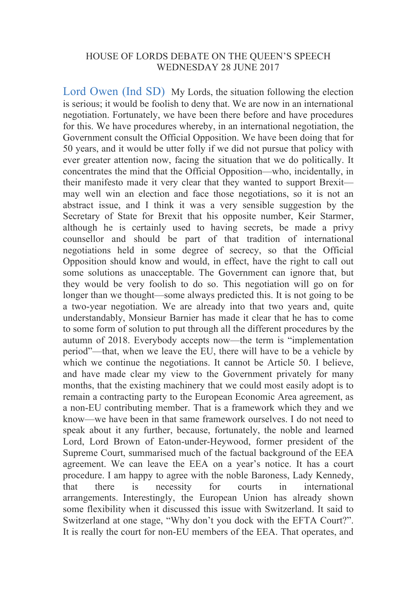## HOUSE OF LORDS DEBATE ON THE QUEEN'S SPEECH WEDNESDAY 28 JUNE 2017

Lord Owen (Ind SD) My Lords, the situation following the election is serious; it would be foolish to deny that. We are now in an international negotiation. Fortunately, we have been there before and have procedures for this. We have procedures whereby, in an international negotiation, the Government consult the Official Opposition. We have been doing that for 50 years, and it would be utter folly if we did not pursue that policy with ever greater attention now, facing the situation that we do politically. It concentrates the mind that the Official Opposition—who, incidentally, in their manifesto made it very clear that they wanted to support Brexit may well win an election and face those negotiations, so it is not an abstract issue, and I think it was a very sensible suggestion by the Secretary of State for Brexit that his opposite number, Keir Starmer, although he is certainly used to having secrets, be made a privy counsellor and should be part of that tradition of international negotiations held in some degree of secrecy, so that the Official Opposition should know and would, in effect, have the right to call out some solutions as unacceptable. The Government can ignore that, but they would be very foolish to do so. This negotiation will go on for longer than we thought—some always predicted this. It is not going to be a two-year negotiation. We are already into that two years and, quite understandably, Monsieur Barnier has made it clear that he has to come to some form of solution to put through all the different procedures by the autumn of 2018. Everybody accepts now—the term is "implementation period"—that, when we leave the EU, there will have to be a vehicle by which we continue the negotiations. It cannot be Article 50. I believe, and have made clear my view to the Government privately for many months, that the existing machinery that we could most easily adopt is to remain a contracting party to the European Economic Area agreement, as a non-EU contributing member. That is a framework which they and we know—we have been in that same framework ourselves. I do not need to speak about it any further, because, fortunately, the noble and learned Lord, Lord Brown of Eaton-under-Heywood, former president of the Supreme Court, summarised much of the factual background of the EEA agreement. We can leave the EEA on a year's notice. It has a court procedure. I am happy to agree with the noble Baroness, Lady Kennedy, that there is necessity for courts in international arrangements. Interestingly, the European Union has already shown some flexibility when it discussed this issue with Switzerland. It said to Switzerland at one stage, "Why don't you dock with the EFTA Court?". It is really the court for non-EU members of the EEA. That operates, and